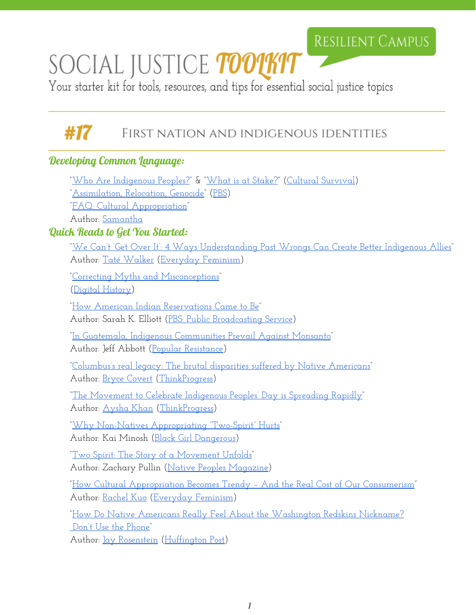## RESILIENT CAMPUS

# SOCIAL JUSTICE TOOLKIT

Your starter kit for tools, resources, and tips for essential social justice topics

#### #17 FIRST NATION AND INDIGENOUS IDENTITIES

### Developing Common Language:

|                                 | <u> "Who Are Indigenous Peoples?" &amp; "What is at Stake?" (Cultural Survival)</u>                    |
|---------------------------------|--------------------------------------------------------------------------------------------------------|
|                                 | <u>'Assimilation, Relocation, Genocide" (PBS)</u>                                                      |
|                                 | <u> "FAO: Cultural Appropriation"</u>                                                                  |
|                                 | Author: Samantha                                                                                       |
| Quick Reads to Get You Started: |                                                                                                        |
|                                 | <u> "We Can't 'Get Over It': 4 Ways Understanding Past Wrongs Can Create Better Indigenous Allies"</u> |
|                                 | Author: Taté Walker (Everyday Feminism)                                                                |
|                                 | <u> "Correcting Myths and Misconceptions"</u>                                                          |
|                                 | <u>(Digital History)</u>                                                                               |
|                                 | <u> "How American Indian Reservations Came to Be"</u>                                                  |
|                                 | <u> Author: Sarah K. Elliott (PBS: Public Broadcasting Service)</u>                                    |
|                                 |                                                                                                        |
|                                 | <u> "In Guatemala, Indigenous Communities Prevail Against Monsanto"</u>                                |
|                                 | Author: Jeff Abbott (Popular Resistance)                                                               |
|                                 | <u> "Columbus's real legacy: The brutal disparities suffered by Native Americans"</u>                  |
|                                 | Author: <u>Bryce Covert</u> (ThinkProgress)                                                            |
|                                 | <u> "The Movement to Celebrate Indigenous Peoples' Day is Spreading Rapidly"</u>                       |
|                                 | Author: Aysha Khan (ThinkProgress)                                                                     |
|                                 | <u> "Why Non-Natives Appropriating "Two-Spirit" Hurts</u> "                                            |
|                                 | Author: Kai Minosh (Black Girl Dangerous)                                                              |
|                                 |                                                                                                        |
|                                 | <u> "Two Spirit: The Story of a Movement Unfolds"</u>                                                  |
|                                 | <u> Author: Zachary Pullin (Native Peoples Magazine)</u>                                               |
|                                 | <u> "How Cultural Appropriation Becomes Trendy - And the Real Cost of Our Consumerism"</u>             |
|                                 | <u> Author: Rachel Kuo (Everyday Feminism)</u>                                                         |
|                                 | <u>"How Do Native Americans Really Feel About the Washington Redskins Nickname?</u>                    |
|                                 | <u>Don't Use the Phone"</u>                                                                            |
|                                 | Author: <u>Jay Rosenstein</u> (Huffington Post)                                                        |
|                                 |                                                                                                        |